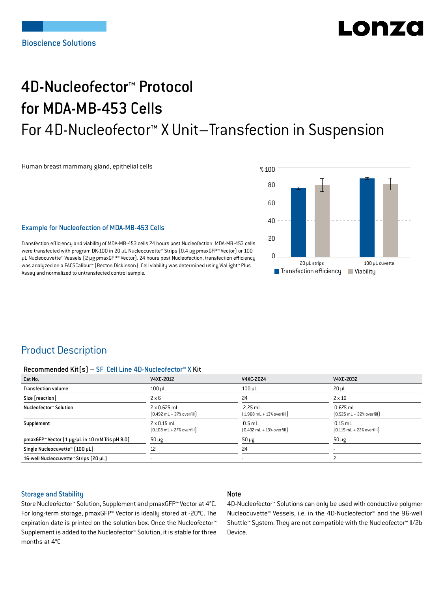# Lon76

## 4D-Nucleofector™ Protocol for MDA-MB-453 Cells For 4D-Nucleofector™ X Unit–Transfection in Suspension

Human breast mammary gland, epithelial cells



#### Example for Nucleofection of MDA-MB-453 Cells

Transfection efficiency and viability of MDA-MB-453 cells 24 hours post Nucleofection. MDA-MB-453 cells were transfected with program DK-100 in 20 μL Nucleocuvette™ Strips (0.4 μg pmaxGFP™ Vector) or 100 μL Nucleocuvette™ Vessels (2 μg pmaxGFP™ Vector). 24 hours post Nucleofection, transfection efficiency was analyzed on a FACSCalibur™ (Becton Dickinson). Cell viability was determined using ViaLight™ Plus Assay and normalized to untransfected control sample.

## Product Description

#### Recommended Kit(s) – SF Cell Line 4D-Nucleofector™ X Kit

| Cat No.                                                            | V4XC-2012                                                           | V4XC-2024                                                | V4XC-2032                                                  |
|--------------------------------------------------------------------|---------------------------------------------------------------------|----------------------------------------------------------|------------------------------------------------------------|
| <b>Transfection volume</b>                                         | $100 \mu L$                                                         | $100 \mu L$                                              | $20 \mu L$                                                 |
| Size [reaction]                                                    | $2 \times 6$                                                        | 24                                                       | $2 \times 16$                                              |
| Nucleofector™ Solution                                             | $2 \times 0.675$ mL<br>$[0.492 \text{ mL} + 27\% \text{ overfill}]$ | $2.25$ mL<br>$1.968$ mL + 13% overfill                   | $0.675$ mL<br>$[0.525 \text{ mL} + 22\% \text{ overfill}]$ |
| Supplement                                                         | $2 \times 0.15$ mL<br>$[0.108 \text{ mL} + 27\% \text{ overfill}]$  | $0.5$ mL<br>$[0.432 \text{ mL} + 13\% \text{ overfill}]$ | $0.15$ mL<br>$[0.115 \text{ mL} + 22\% \text{ overfill}]$  |
| pmaxGFP <sup>*</sup> Vector $[1 \mu g/\mu L$ in 10 mM Tris pH 8.0) | $50 \mu g$                                                          | $50 \mu g$                                               | $50 \mu g$                                                 |
| Single Nucleocuvette™ (100 µL)                                     | 12                                                                  | 24                                                       |                                                            |
| 16-well Nucleocuvette™ Strips (20 µL)                              |                                                                     |                                                          |                                                            |

#### Storage and Stability

#### Note

Store Nucleofector™ Solution, Supplement and pmaxGFP™ Vector at 4°C. For long-term storage, pmaxGFP™ Vector is ideally stored at -20°C. The expiration date is printed on the solution box. Once the Nucleofector™ Supplement is added to the Nucleofector™ Solution, it is stable for three months at 4°C

4D-Nucleofector™ Solutions can only be used with conductive polymer Nucleocuvette™ Vessels, i.e. in the 4D-Nucleofector™ and the 96-well Shuttle™ System. They are not compatible with the Nucleofector™ II/2b Device.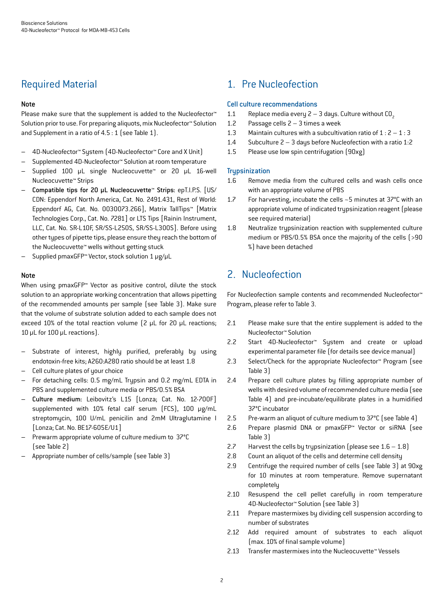## Required Material

#### Note

Please make sure that the supplement is added to the Nucleofector<sup>™</sup> Solution prior to use. For preparing aliquots, mix Nucleofector™ Solution and Supplement in a ratio of 4.5 : 1 (see Table 1).

- 4D-Nucleofector™ System (4D-Nucleofector™ Core and X Unit)
- Supplemented 4D-Nucleofector™ Solution at room temperature
- Supplied 100 µL single Nucleocuvette™ or 20 µL 16-well Nucleocuvette™ Strips
- Compatible tips for 20 µL Nucleocuvette™ Strips: epT.I.P.S. [US/ CDN: Eppendorf North America, Cat. No. 2491.431, Rest of World: Eppendorf AG, Cat. No. 0030073.266], Matrix TallTips™ [Matrix Technologies Corp., Cat. No. 7281] or LTS Tips [Rainin Instrument, LLC, Cat. No. SR-L10F, SR/SS-L250S, SR/SS-L300S]. Before using other types of pipette tips, please ensure they reach the bottom of the Nucleocuvette™ wells without getting stuck
- Supplied pmaxGFP™ Vector, stock solution 1 μg/μL

#### Note

When using pmaxGFP™ Vector as positive control, dilute the stock solution to an appropriate working concentration that allows pipetting of the recommended amounts per sample (see Table 3). Make sure that the volume of substrate solution added to each sample does not exceed 10% of the total reaction volume (2 μL for 20 μL reactions; 10 μL for 100 μL reactions).

- Substrate of interest, highly purified, preferably by using endotoxin-free kits; A260:A280 ratio should be at least 1.8
- Cell culture plates of your choice
- For detaching cells: 0.5 mg/mL Trypsin and 0.2 mg/mL EDTA in PBS and supplemented culture media or PBS/0.5% BSA
- Culture medium: Leibovitz's L15 [Lonza; Cat. No. 12-700F] supplemented with 10% fetal calf serum (FCS), 100 μg/mL streptomycin, 100 U/mL penicilin and 2mM Ultraglutamine I [Lonza; Cat. No. BE17-605E/U1]
- Prewarm appropriate volume of culture medium to 37°C (see Table 2)
- Appropriate number of cells/sample (see Table 3)

## 1. Pre Nucleofection

#### Cell culture recommendations

- 1.1 Replace media every  $2 3$  days. Culture without CO<sub>2</sub><br>1.2 Passage cells 2 3 times a week
- Passage cells  $2 3$  times a week
- 1.3 Maintain cultures with a subcultivation ratio of  $1:2-1:3$
- 1.4 Subculture 2 3 days before Nucleofection with a ratio 1:2
- 1.5 Please use low spin centrifugation (90xg)

#### **Trypsinization**

- 1.6 Remove media from the cultured cells and wash cells once with an appropriate volume of PBS
- 1.7 For harvesting, incubate the cells ~5 minutes at 37°C with an appropriate volume of indicated trypsinization reagent (please see required material)
- 1.8 Neutralize trypsinization reaction with supplemented culture medium or PBS/0.5% BSA once the majority of the cells (>90 %) have been detached

## 2. Nucleofection

For Nucleofection sample contents and recommended Nucleofector™ Program, please refer to Table 3.

- 2.1 Please make sure that the entire supplement is added to the Nucleofector™ Solution
- 2.2 Start 4D-Nucleofector™ System and create or upload experimental parameter file (for details see device manual)
- 2.3 Select/Check for the appropriate Nucleofector™ Program (see Table 3)
- 2.4 Prepare cell culture plates by filling appropriate number of wells with desired volume of recommended culture media (see Table 4) and pre-incubate/equilibrate plates in a humidified 37°C incubator
- 2.5 Pre-warm an aliquot of culture medium to 37°C (see Table 4)
- 2.6 Prepare plasmid DNA or pmaxGFP™ Vector or siRNA (see Table 3)
- 2.7 Harvest the cells by trypsinization (please see  $1.6 1.8$ )
- 2.8 Count an aliquot of the cells and determine cell density
- 2.9 Centrifuge the required number of cells (see Table 3) at 90xg for 10 minutes at room temperature. Remove supernatant completely
- 2.10 Resuspend the cell pellet carefully in room temperature 4D-Nucleofector™ Solution (see Table 3)
- 2.11 Prepare mastermixes by dividing cell suspension according to number of substrates
- 2.12 Add required amount of substrates to each aliquot (max. 10% of final sample volume)
- 2.13 Transfer mastermixes into the Nucleocuvette™ Vessels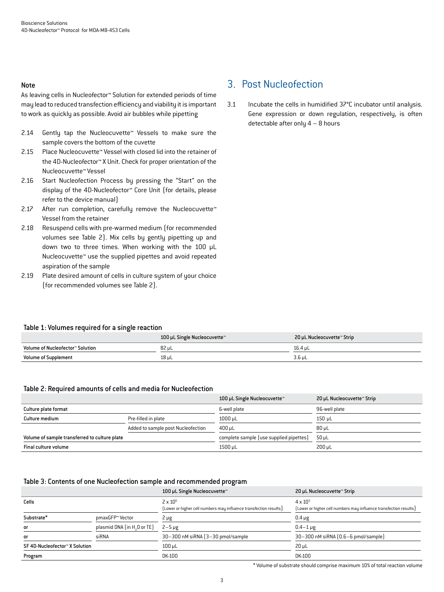#### Note

As leaving cells in Nucleofector™ Solution for extended periods of time may lead to reduced transfection efficiency and viability it is important to work as quickly as possible. Avoid air bubbles while pipetting

- 2.14 Gently tap the Nucleocuvette™ Vessels to make sure the sample covers the bottom of the cuvette
- 2.15 Place Nucleocuvette™ Vessel with closed lid into the retainer of the 4D-Nucleofector™ X Unit. Check for proper orientation of the Nucleocuvette™ Vessel
- 2.16 Start Nucleofection Process by pressing the "Start" on the display of the 4D-Nucleofector™ Core Unit (for details, please refer to the device manual)
- 2.17 After run completion, carefully remove the Nucleocuvette™ Vessel from the retainer
- 2.18 Resuspend cells with pre-warmed medium (for recommended volumes see Table 2). Mix cells by gently pipetting up and down two to three times. When working with the 100 µL Nucleocuvette™ use the supplied pipettes and avoid repeated aspiration of the sample
- 2.19 Plate desired amount of cells in culture system of your choice (for recommended volumes see Table 2).

## 3. Post Nucleofection

3.1 Incubate the cells in humidified 37°C incubator until analysis. Gene expression or down regulation, respectively, is often detectable after only 4 – 8 hours

#### Table 1: Volumes required for a single reaction

|                                  | 100 µL Single Nucleocuvette™ | 20 µL Nucleocuvette™ Strip |
|----------------------------------|------------------------------|----------------------------|
| Volume of Nucleofector™ Solution | 82 µL                        | 16.4 uL                    |
| <b>Volume of Supplement</b>      | 18 uL                        | 3.6 uL                     |

#### Table 2: Required amounts of cells and media for Nucleofection

|                                               |                                    | 100 µL Single Nucleocuvette™            | 20 µL Nucleocuvette™ Strip |
|-----------------------------------------------|------------------------------------|-----------------------------------------|----------------------------|
| Culture plate format                          |                                    | 6-well plate                            | 96-well plate              |
| Culture medium                                | Pre-filled in plate                | $1000 \mu L$                            | 150 uL                     |
|                                               | Added to sample post Nucleofection | $400 \mu L$                             | $80 \mu L$                 |
| Volume of sample transferred to culture plate |                                    | complete sample (use supplied pipettes) | 50 uL                      |
| Final culture volume                          |                                    | 1500 µL                                 | $200 \mu L$                |

#### Table 3: Contents of one Nucleofection sample and recommended program

|                                |                                         | 100 µL Single Nucleocuvette™                                                         | 20 µL Nucleocuvette™ Strip                                                             |
|--------------------------------|-----------------------------------------|--------------------------------------------------------------------------------------|----------------------------------------------------------------------------------------|
| Cells                          |                                         | $2 \times 10^6$<br>[Lower or higher cell numbers may influence transfection results] | $4 \times 10^{5}$<br>[Lower or higher cell numbers may influence transfection results] |
| Substrate*                     | pmaxGFP™ Vector                         | $2 \mu g$                                                                            | $0.4 \mu g$                                                                            |
| or                             | plasmid DNA (in H <sub>2</sub> O or TE) | $2 - 5 \mu g$                                                                        | $0.4 - 1 \,\mu g$                                                                      |
| or                             | siRNA                                   | 30-300 nM siRNA (3-30 pmol/sample                                                    | 30-300 nM siRNA (0.6-6 pmol/sample)                                                    |
| SF 4D-Nucleofector™ X Solution |                                         | $100 \mu L$                                                                          | $20 \mu L$                                                                             |
| Program                        |                                         | DK-100                                                                               | DK-100                                                                                 |

\* Volume of substrate should comprise maximum 10% of total reaction volume